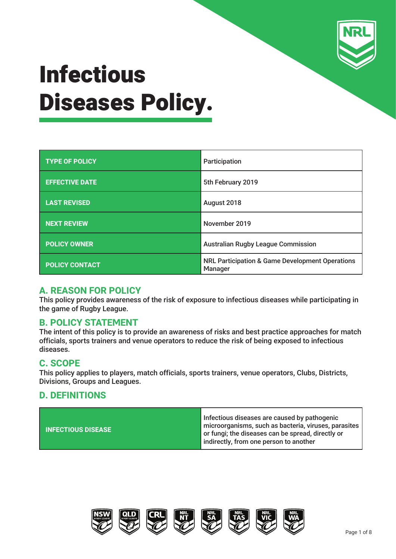

| <b>TYPE OF POLICY</b> | Participation                                                         |  |
|-----------------------|-----------------------------------------------------------------------|--|
| <b>EFFECTIVE DATE</b> | 5th February 2019                                                     |  |
| <b>LAST REVISED</b>   | August 2018                                                           |  |
| <b>NEXT REVIEW</b>    | November 2019                                                         |  |
| <b>POLICY OWNER</b>   | <b>Australian Rugby League Commission</b>                             |  |
| <b>POLICY CONTACT</b> | <b>NRL Participation &amp; Game Development Operations</b><br>Manager |  |

## **A. REASON FOR POLICY**

This policy provides awareness of the risk of exposure to infectious diseases while participating in the game of Rugby League.

## **B. POLICY STATEMENT**

The intent of this policy is to provide an awareness of risks and best practice approaches for match officials, sports trainers and venue operators to reduce the risk of being exposed to infectious diseases.

## **C. SCOPE**

This policy applies to players, match officials, sports trainers, venue operators, Clubs, Districts, Divisions, Groups and Leagues.

## **D. DEFINITIONS**

| <b>INFECTIOUS DISEASE</b> | Infectious diseases are caused by pathogenic<br>microorganisms, such as bacteria, viruses, parasites<br>or fungi; the diseases can be spread, directly or<br>indirectly, from one person to another |
|---------------------------|-----------------------------------------------------------------------------------------------------------------------------------------------------------------------------------------------------|
|---------------------------|-----------------------------------------------------------------------------------------------------------------------------------------------------------------------------------------------------|

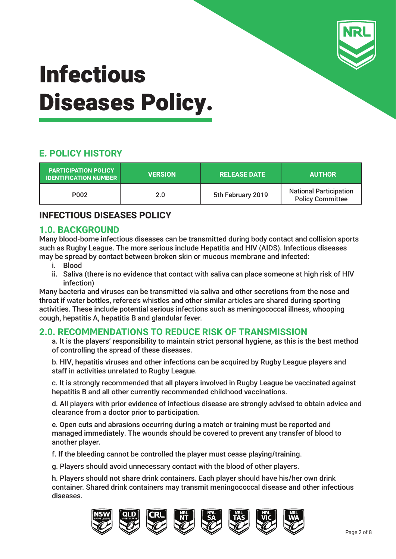

# **E. POLICY HISTORY**

| <b>PARTICIPATION POLICY</b><br><b>IDENTIFICATION NUMBER</b> | <b>VERSION</b> | <b>RELEASE DATE</b> | <b>AUTHOR</b>                                            |
|-------------------------------------------------------------|----------------|---------------------|----------------------------------------------------------|
| P002                                                        | 2.0            | 5th February 2019   | <b>National Participation</b><br><b>Policy Committee</b> |

# **INFECTIOUS DISEASES POLICY**

## **1.0. BACKGROUND**

Many blood-borne infectious diseases can be transmitted during body contact and collision sports such as Rugby League. The more serious include Hepatitis and HIV (AIDS). Infectious diseases may be spread by contact between broken skin or mucous membrane and infected:

- i. Blood
- ii. Saliva (there is no evidence that contact with saliva can place someone at high risk of HIV infection)

Many bacteria and viruses can be transmitted via saliva and other secretions from the nose and throat if water bottles, referee's whistles and other similar articles are shared during sporting activities. These include potential serious infections such as meningococcal illness, whooping cough, hepatitis A, hepatitis B and glandular fever.

## **2.0. RECOMMENDATIONS TO REDUCE RISK OF TRANSMISSION**

a. It is the players' responsibility to maintain strict personal hygiene, as this is the best method of controlling the spread of these diseases.

b. HIV, hepatitis viruses and other infections can be acquired by Rugby League players and staff in activities unrelated to Rugby League.

c. It is strongly recommended that all players involved in Rugby League be vaccinated against hepatitis B and all other currently recommended childhood vaccinations.

d. All players with prior evidence of infectious disease are strongly advised to obtain advice and clearance from a doctor prior to participation.

e. Open cuts and abrasions occurring during a match or training must be reported and managed immediately. The wounds should be covered to prevent any transfer of blood to another player.

f. If the bleeding cannot be controlled the player must cease playing/training.

g. Players should avoid unnecessary contact with the blood of other players.

h. Players should not share drink containers. Each player should have his/her own drink container. Shared drink containers may transmit meningococcal disease and other infectious diseases.

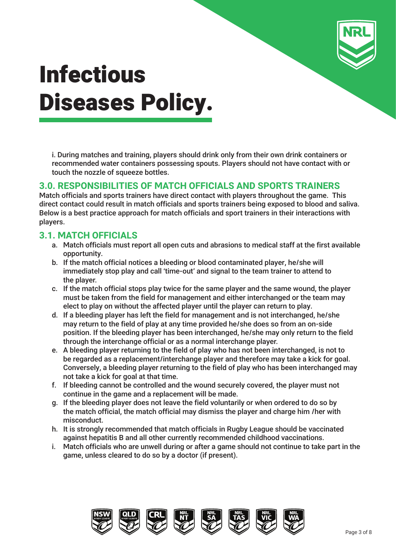

i. During matches and training, players should drink only from their own drink containers or recommended water containers possessing spouts. Players should not have contact with or touch the nozzle of squeeze bottles.

#### **3.0. RESPONSIBILITIES OF MATCH OFFICIALS AND SPORTS TRAINERS**

Match officials and sports trainers have direct contact with players throughout the game. This direct contact could result in match officials and sports trainers being exposed to blood and saliva. Below is a best practice approach for match officials and sport trainers in their interactions with players.

### **3.1. MATCH OFFICIALS**

- a. Match officials must report all open cuts and abrasions to medical staff at the first available opportunity.
- b. If the match official notices a bleeding or blood contaminated player, he/she will immediately stop play and call 'time-out' and signal to the team trainer to attend to the player.
- c. If the match official stops play twice for the same player and the same wound, the player must be taken from the field for management and either interchanged or the team may elect to play on without the affected player until the player can return to play.
- d. If a bleeding player has left the field for management and is not interchanged, he/she may return to the field of play at any time provided he/she does so from an on-side position. If the bleeding player has been interchanged, he/she may only return to the field through the interchange official or as a normal interchange player.
- e. A bleeding player returning to the field of play who has not been interchanged, is not to be regarded as a replacement/interchange player and therefore may take a kick for goal. Conversely, a bleeding player returning to the field of play who has been interchanged may not take a kick for goal at that time.
- f. If bleeding cannot be controlled and the wound securely covered, the player must not continue in the game and a replacement will be made.
- g. If the bleeding player does not leave the field voluntarily or when ordered to do so by the match official, the match official may dismiss the player and charge him /her with misconduct.
- h. It is strongly recommended that match officials in Rugby League should be vaccinated against hepatitis B and all other currently recommended childhood vaccinations.
- i. Match officials who are unwell during or after a game should not continue to take part in the game, unless cleared to do so by a doctor (if present).

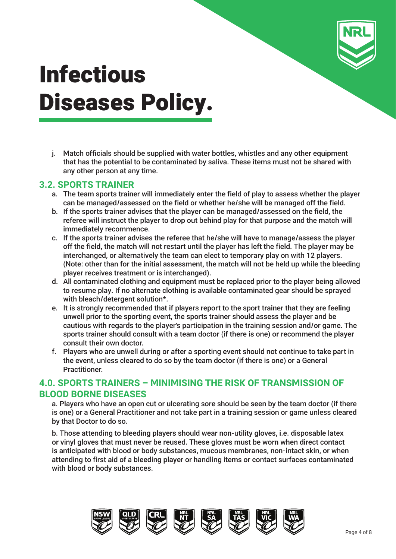

j. Match officials should be supplied with water bottles, whistles and any other equipment that has the potential to be contaminated by saliva. These items must not be shared with any other person at any time.

#### **3.2. SPORTS TRAINER**

- a. The team sports trainer will immediately enter the field of play to assess whether the player can be managed/assessed on the field or whether he/she will be managed off the field.
- b. If the sports trainer advises that the player can be managed/assessed on the field, the referee will instruct the player to drop out behind play for that purpose and the match will immediately recommence.
- c. If the sports trainer advises the referee that he/she will have to manage/assess the player off the field, the match will not restart until the player has left the field. The player may be interchanged, or alternatively the team can elect to temporary play on with 12 players. (Note: other than for the initial assessment, the match will not be held up while the bleeding player receives treatment or is interchanged).
- d. All contaminated clothing and equipment must be replaced prior to the player being allowed to resume play. If no alternate clothing is available contaminated gear should be sprayed with bleach/detergent solution\*.
- e. It is strongly recommended that if players report to the sport trainer that they are feeling unwell prior to the sporting event, the sports trainer should assess the player and be cautious with regards to the player's participation in the training session and/or game. The sports trainer should consult with a team doctor (if there is one) or recommend the player consult their own doctor.
- f. Players who are unwell during or after a sporting event should not continue to take part in the event, unless cleared to do so by the team doctor (if there is one) or a General Practitioner.

# **4.0. SPORTS TRAINERS – MINIMISING THE RISK OF TRANSMISSION OF BLOOD BORNE DISEASES**

a. Players who have an open cut or ulcerating sore should be seen by the team doctor (if there is one) or a General Practitioner and not take part in a training session or game unless cleared by that Doctor to do so.

b. Those attending to bleeding players should wear non-utility gloves, i.e. disposable latex or vinyl gloves that must never be reused. These gloves must be worn when direct contact is anticipated with blood or body substances, mucous membranes, non-intact skin, or when attending to first aid of a bleeding player or handling items or contact surfaces contaminated with blood or body substances.

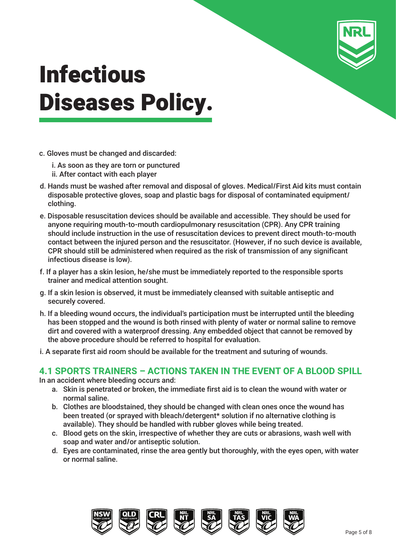

- c. Gloves must be changed and discarded:
	- i. As soon as they are torn or punctured
	- ii. After contact with each player
- d. Hands must be washed after removal and disposal of gloves. Medical/First Aid kits must contain disposable protective gloves, soap and plastic bags for disposal of contaminated equipment/ clothing.
- e. Disposable resuscitation devices should be available and accessible. They should be used for anyone requiring mouth-to-mouth cardiopulmonary resuscitation (CPR). Any CPR training should include instruction in the use of resuscitation devices to prevent direct mouth-to-mouth contact between the injured person and the resuscitator. (However, if no such device is available, CPR should still be administered when required as the risk of transmission of any significant infectious disease is low).
- f. If a player has a skin lesion, he/she must be immediately reported to the responsible sports trainer and medical attention sought.
- g. If a skin lesion is observed, it must be immediately cleansed with suitable antiseptic and securely covered.
- h. If a bleeding wound occurs, the individual's participation must be interrupted until the bleeding has been stopped and the wound is both rinsed with plenty of water or normal saline to remove dirt and covered with a waterproof dressing. Any embedded object that cannot be removed by the above procedure should be referred to hospital for evaluation.
- i. A separate first aid room should be available for the treatment and suturing of wounds.

# **4.1 SPORTS TRAINERS – ACTIONS TAKEN IN THE EVENT OF A BLOOD SPILL**

In an accident where bleeding occurs and:

- a. Skin is penetrated or broken, the immediate first aid is to clean the wound with water or normal saline.
- b. Clothes are bloodstained, they should be changed with clean ones once the wound has been treated (or sprayed with bleach/detergent\* solution if no alternative clothing is available). They should be handled with rubber gloves while being treated.
- c. Blood gets on the skin, irrespective of whether they are cuts or abrasions, wash well with soap and water and/or antiseptic solution.
- d. Eyes are contaminated, rinse the area gently but thoroughly, with the eyes open, with water or normal saline.

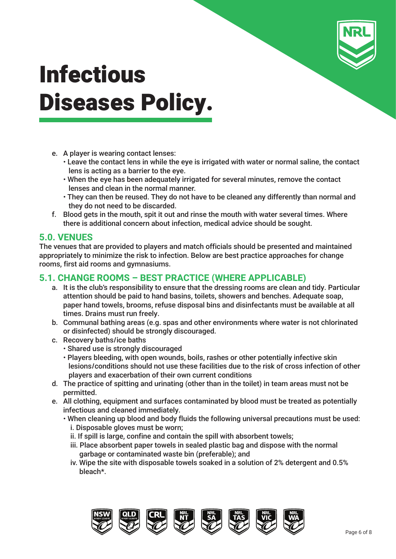

- e. A player is wearing contact lenses:
	- **•** Leave the contact lens in while the eye is irrigated with water or normal saline, the contact lens is acting as a barrier to the eye.
	- **•** When the eye has been adequately irrigated for several minutes, remove the contact lenses and clean in the normal manner.
	- **•** They can then be reused. They do not have to be cleaned any differently than normal and they do not need to be discarded.
- f. Blood gets in the mouth, spit it out and rinse the mouth with water several times. Where there is additional concern about infection, medical advice should be sought.

# **5.0. VENUES**

The venues that are provided to players and match officials should be presented and maintained appropriately to minimize the risk to infection. Below are best practice approaches for change rooms, first aid rooms and gymnasiums.

# **5.1. CHANGE ROOMS – BEST PRACTICE (WHERE APPLICABLE)**

- a. It is the club's responsibility to ensure that the dressing rooms are clean and tidy. Particular attention should be paid to hand basins, toilets, showers and benches. Adequate soap, paper hand towels, brooms, refuse disposal bins and disinfectants must be available at all times. Drains must run freely.
- b. Communal bathing areas (e.g. spas and other environments where water is not chlorinated or disinfected) should be strongly discouraged.
- c. Recovery baths/ice baths
	- **•** Shared use is strongly discouraged
	- **•** Players bleeding, with open wounds, boils, rashes or other potentially infective skin lesions/conditions should not use these facilities due to the risk of cross infection of other players and exacerbation of their own current conditions
- d. The practice of spitting and urinating (other than in the toilet) in team areas must not be permitted.
- e. All clothing, equipment and surfaces contaminated by blood must be treated as potentially infectious and cleaned immediately.
	- **•** When cleaning up blood and body fluids the following universal precautions must be used: i. Disposable gloves must be worn;
		- ii. If spill is large, confine and contain the spill with absorbent towels;
		- iii. Place absorbent paper towels in sealed plastic bag and dispose with the normal garbage or contaminated waste bin (preferable); and
		- iv. Wipe the site with disposable towels soaked in a solution of 2% detergent and 0.5% bleach\*.

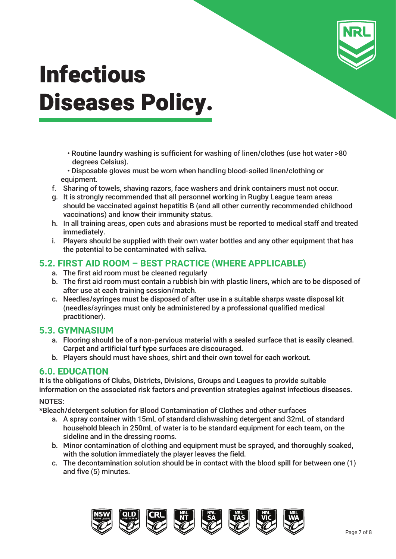

- **•** Routine laundry washing is sufficient for washing of linen/clothes (use hot water >80 degrees Celsius).
- **•** Disposable gloves must be worn when handling blood-soiled linen/clothing or equipment.
- f. Sharing of towels, shaving razors, face washers and drink containers must not occur.
- g. It is strongly recommended that all personnel working in Rugby League team areas should be vaccinated against hepatitis B (and all other currently recommended childhood vaccinations) and know their immunity status.
- h. In all training areas, open cuts and abrasions must be reported to medical staff and treated immediately.
- i. Players should be supplied with their own water bottles and any other equipment that has the potential to be contaminated with saliva.

# **5.2. FIRST AID ROOM – BEST PRACTICE (WHERE APPLICABLE)**

- a. The first aid room must be cleaned regularly
- b. The first aid room must contain a rubbish bin with plastic liners, which are to be disposed of after use at each training session/match.
- c. Needles/syringes must be disposed of after use in a suitable sharps waste disposal kit (needles/syringes must only be administered by a professional qualified medical practitioner).

## **5.3. GYMNASIUM**

- a. Flooring should be of a non-pervious material with a sealed surface that is easily cleaned. Carpet and artificial turf type surfaces are discouraged.
- b. Players should must have shoes, shirt and their own towel for each workout.

## **6.0. EDUCATION**

It is the obligations of Clubs, Districts, Divisions, Groups and Leagues to provide suitable information on the associated risk factors and prevention strategies against infectious diseases.

#### NOTES:

\*Bleach/detergent solution for Blood Contamination of Clothes and other surfaces

- a. A spray container with 15mL of standard dishwashing detergent and 32mL of standard household bleach in 250mL of water is to be standard equipment for each team, on the sideline and in the dressing rooms.
- b. Minor contamination of clothing and equipment must be sprayed, and thoroughly soaked, with the solution immediately the player leaves the field.
- c. The decontamination solution should be in contact with the blood spill for between one (1) and five (5) minutes.